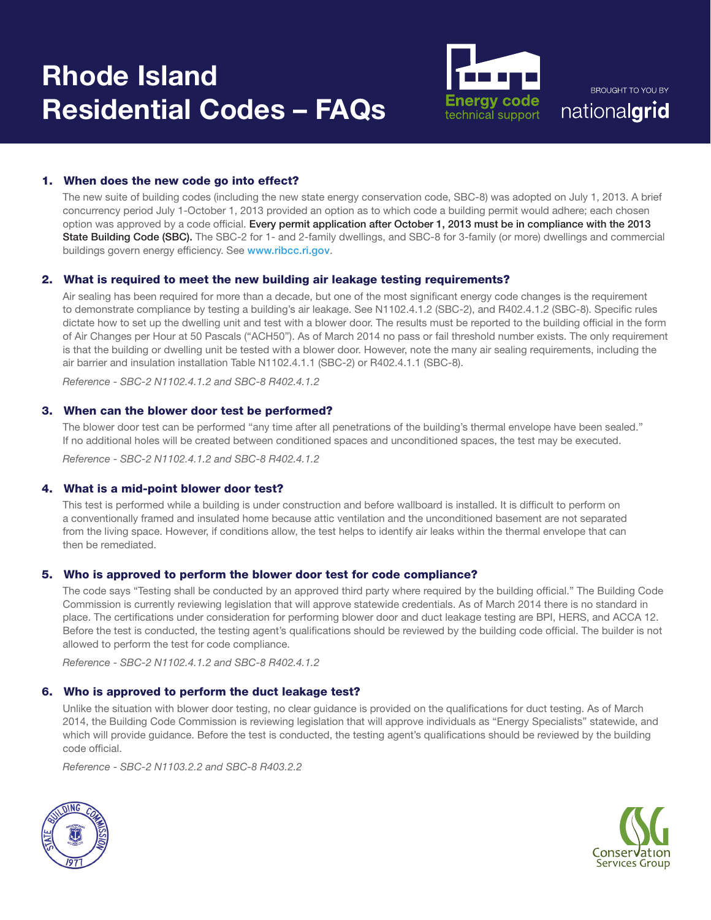

**BROUGHT TO YOU BY** nationalgrid

# 1. When does the new code go into effect?

The new suite of building codes (including the new state energy conservation code, SBC-8) was adopted on July 1, 2013. A brief concurrency period July 1-October 1, 2013 provided an option as to which code a building permit would adhere; each chosen option was approved by a code official. Every permit application after October 1, 2013 must be in compliance with the 2013 State Building Code (SBC). The SBC-2 for 1- and 2-family dwellings, and SBC-8 for 3-family (or more) dwellings and commercial buildings govern energy efficiency. See www.ribcc.ri.gov.

## 2. What is required to meet the new building air leakage testing requirements?

Air sealing has been required for more than a decade, but one of the most significant energy code changes is the requirement to demonstrate compliance by testing a building's air leakage. See N1102.4.1.2 (SBC-2), and R402.4.1.2 (SBC-8). Specific rules dictate how to set up the dwelling unit and test with a blower door. The results must be reported to the building official in the form of Air Changes per Hour at 50 Pascals ("ACH50"). As of March 2014 no pass or fail threshold number exists. The only requirement is that the building or dwelling unit be tested with a blower door. However, note the many air sealing requirements, including the air barrier and insulation installation Table N1102.4.1.1 (SBC-2) or R402.4.1.1 (SBC-8).

*Reference - SBC-2 N1102.4.1.2 and SBC-8 R402.4.1.2*

## 3. When can the blower door test be performed?

The blower door test can be performed "any time after all penetrations of the building's thermal envelope have been sealed." If no additional holes will be created between conditioned spaces and unconditioned spaces, the test may be executed.

*Reference - SBC-2 N1102.4.1.2 and SBC-8 R402.4.1.2*

# 4. What is a mid-point blower door test?

This test is performed while a building is under construction and before wallboard is installed. It is difficult to perform on a conventionally framed and insulated home because attic ventilation and the unconditioned basement are not separated from the living space. However, if conditions allow, the test helps to identify air leaks within the thermal envelope that can then be remediated.

## 5. Who is approved to perform the blower door test for code compliance?

The code says "Testing shall be conducted by an approved third party where required by the building official." The Building Code Commission is currently reviewing legislation that will approve statewide credentials. As of March 2014 there is no standard in place. The certifications under consideration for performing blower door and duct leakage testing are BPI, HERS, and ACCA 12. Before the test is conducted, the testing agent's qualifications should be reviewed by the building code official. The builder is not allowed to perform the test for code compliance.

*Reference - SBC-2 N1102.4.1.2 and SBC-8 R402.4.1.2*

# 6. Who is approved to perform the duct leakage test?

Unlike the situation with blower door testing, no clear guidance is provided on the qualifications for duct testing. As of March 2014, the Building Code Commission is reviewing legislation that will approve individuals as "Energy Specialists" statewide, and which will provide guidance. Before the test is conducted, the testing agent's qualifications should be reviewed by the building code official.

*Reference - SBC-2 N1103.2.2 and SBC-8 R403.2.2*